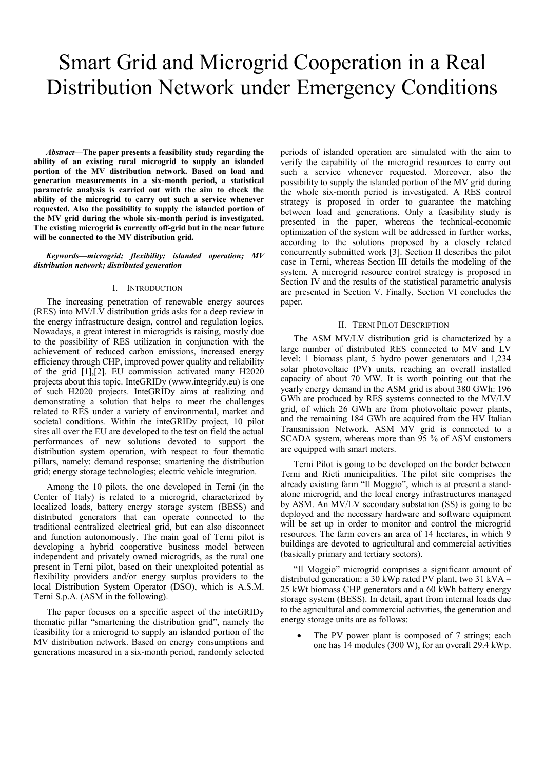# Smart Grid and Microgrid Cooperation in a Real Distribution Network under Emergency Conditions

*Abstract***—The paper presents a feasibility study regarding the ability of an existing rural microgrid to supply an islanded portion of the MV distribution network. Based on load and generation measurements in a six-month period, a statistical parametric analysis is carried out with the aim to check the ability of the microgrid to carry out such a service whenever requested. Also the possibility to supply the islanded portion of the MV grid during the whole six-month period is investigated. The existing microgrid is currently off-grid but in the near future will be connected to the MV distribution grid.**

#### *Keywords—microgrid; flexibility; islanded operation; MV distribution network; distributed generation*

### I. INTRODUCTION

The increasing penetration of renewable energy sources (RES) into MV/LV distribution grids asks for a deep review in the energy infrastructure design, control and regulation logics. Nowadays, a great interest in microgrids is raising, mostly due to the possibility of RES utilization in conjunction with the achievement of reduced carbon emissions, increased energy efficiency through CHP, improved power quality and reliability of the grid [1],[2]. EU commission activated many H2020 projects about this topic. InteGRIDy (www.integridy.eu) is one of such H2020 projects. InteGRIDy aims at realizing and demonstrating a solution that helps to meet the challenges related to RES under a variety of environmental, market and societal conditions. Within the inteGRIDy project, 10 pilot sites all over the EU are developed to the test on field the actual performances of new solutions devoted to support the distribution system operation, with respect to four thematic pillars, namely: demand response; smartening the distribution grid; energy storage technologies; electric vehicle integration.

Among the 10 pilots, the one developed in Terni (in the Center of Italy) is related to a microgrid, characterized by localized loads, battery energy storage system (BESS) and distributed generators that can operate connected to the traditional centralized electrical grid, but can also disconnect and function autonomously. The main goal of Terni pilot is developing a hybrid cooperative business model between independent and privately owned microgrids, as the rural one present in Terni pilot, based on their unexploited potential as flexibility providers and/or energy surplus providers to the local Distribution System Operator (DSO), which is A.S.M. Terni S.p.A. (ASM in the following).

The paper focuses on a specific aspect of the inteGRIDy thematic pillar "smartening the distribution grid", namely the feasibility for a microgrid to supply an islanded portion of the MV distribution network. Based on energy consumptions and generations measured in a six-month period, randomly selected periods of islanded operation are simulated with the aim to verify the capability of the microgrid resources to carry out such a service whenever requested. Moreover, also the possibility to supply the islanded portion of the MV grid during the whole six-month period is investigated. A RES control strategy is proposed in order to guarantee the matching between load and generations. Only a feasibility study is presented in the paper, whereas the technical-economic optimization of the system will be addressed in further works, according to the solutions proposed by a closely related concurrently submitted work [3]. Section II describes the pilot case in Terni, whereas Section III details the modeling of the system. A microgrid resource control strategy is proposed in Section IV and the results of the statistical parametric analysis are presented in Section V. Finally, Section VI concludes the paper.

#### II. TERNI PILOT DESCRIPTION

The ASM MV/LV distribution grid is characterized by a large number of distributed RES connected to MV and LV level: 1 biomass plant, 5 hydro power generators and 1,234 solar photovoltaic (PV) units, reaching an overall installed capacity of about 70 MW. It is worth pointing out that the yearly energy demand in the ASM grid is about 380 GWh: 196 GWh are produced by RES systems connected to the MV/LV grid, of which 26 GWh are from photovoltaic power plants, and the remaining 184 GWh are acquired from the HV Italian Transmission Network. ASM MV grid is connected to a SCADA system, whereas more than 95 % of ASM customers are equipped with smart meters.

Terni Pilot is going to be developed on the border between Terni and Rieti municipalities. The pilot site comprises the already existing farm "Il Moggio", which is at present a standalone microgrid, and the local energy infrastructures managed by ASM. An MV/LV secondary substation (SS) is going to be deployed and the necessary hardware and software equipment will be set up in order to monitor and control the microgrid resources. The farm covers an area of 14 hectares, in which 9 buildings are devoted to agricultural and commercial activities (basically primary and tertiary sectors).

"Il Moggio" microgrid comprises a significant amount of distributed generation: a 30 kWp rated PV plant, two 31 kVA – 25 kWt biomass CHP generators and a 60 kWh battery energy storage system (BESS). In detail, apart from internal loads due to the agricultural and commercial activities, the generation and energy storage units are as follows:

 The PV power plant is composed of 7 strings; each one has 14 modules (300 W), for an overall 29.4 kWp.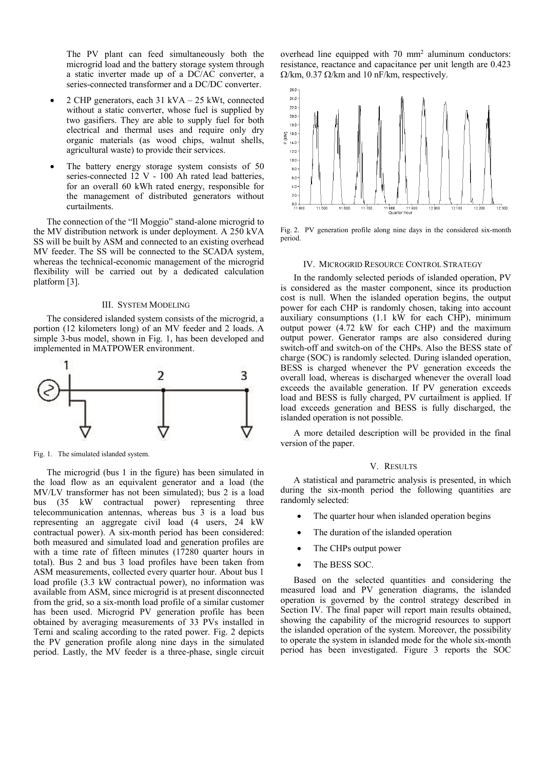The PV plant can feed simultaneously both the microgrid load and the battery storage system through a static inverter made up of a DC/AC converter, a series-connected transformer and a DC/DC converter.

- 2 CHP generators, each 31 kVA 25 kWt, connected without a static converter, whose fuel is supplied by two gasifiers. They are able to supply fuel for both electrical and thermal uses and require only dry organic materials (as wood chips, walnut shells, agricultural waste) to provide their services.
- The battery energy storage system consists of 50 series-connected 12 V - 100 Ah rated lead batteries, for an overall 60 kWh rated energy, responsible for the management of distributed generators without curtailments.

The connection of the "Il Moggio" stand-alone microgrid to the MV distribution network is under deployment. A 250 kVA SS will be built by ASM and connected to an existing overhead MV feeder. The SS will be connected to the SCADA system, whereas the technical-economic management of the microgrid flexibility will be carried out by a dedicated calculation platform [3].

#### III. SYSTEM MODELING

The considered islanded system consists of the microgrid, a portion (12 kilometers long) of an MV feeder and 2 loads. A simple 3-bus model, shown in Fig. 1, has been developed and implemented in MATPOWER environment.



Fig. 1. The simulated islanded system.

The microgrid (bus 1 in the figure) has been simulated in the load flow as an equivalent generator and a load (the MV/LV transformer has not been simulated); bus 2 is a load bus (35 kW contractual power) representing three telecommunication antennas, whereas bus 3 is a load bus representing an aggregate civil load (4 users, 24 kW contractual power). A six-month period has been considered: both measured and simulated load and generation profiles are with a time rate of fifteen minutes (17280 quarter hours in total). Bus 2 and bus 3 load profiles have been taken from ASM measurements, collected every quarter hour. About bus 1 load profile (3.3 kW contractual power), no information was available from ASM, since microgrid is at present disconnected from the grid, so a six-month load profile of a similar customer has been used. Microgrid PV generation profile has been obtained by averaging measurements of 33 PVs installed in Terni and scaling according to the rated power. Fig. 2 depicts the PV generation profile along nine days in the simulated period. Lastly, the MV feeder is a three-phase, single circuit

overhead line equipped with 70 mm<sup>2</sup> aluminum conductors: resistance, reactance and capacitance per unit length are 0.423  $\Omega$ /km, 0.37  $\Omega$ /km and 10 nF/km, respectively.



Fig. 2. PV generation profile along nine days in the considered six-month period.

## IV. MICROGRID RESOURCE CONTROL STRATEGY

In the randomly selected periods of islanded operation, PV is considered as the master component, since its production cost is null. When the islanded operation begins, the output power for each CHP is randomly chosen, taking into account auxiliary consumptions (1.1 kW for each CHP), minimum output power (4.72 kW for each CHP) and the maximum output power. Generator ramps are also considered during switch-off and switch-on of the CHPs. Also the BESS state of charge (SOC) is randomly selected. During islanded operation, BESS is charged whenever the PV generation exceeds the overall load, whereas is discharged whenever the overall load exceeds the available generation. If PV generation exceeds load and BESS is fully charged, PV curtailment is applied. If load exceeds generation and BESS is fully discharged, the islanded operation is not possible.

A more detailed description will be provided in the final version of the paper.

## V. RESULTS

A statistical and parametric analysis is presented, in which during the six-month period the following quantities are randomly selected:

- The quarter hour when islanded operation begins
- The duration of the islanded operation
- The CHPs output power
- The BESS SOC.

Based on the selected quantities and considering the measured load and PV generation diagrams, the islanded operation is governed by the control strategy described in Section IV. The final paper will report main results obtained, showing the capability of the microgrid resources to support the islanded operation of the system. Moreover, the possibility to operate the system in islanded mode for the whole six-month period has been investigated. Figure 3 reports the SOC